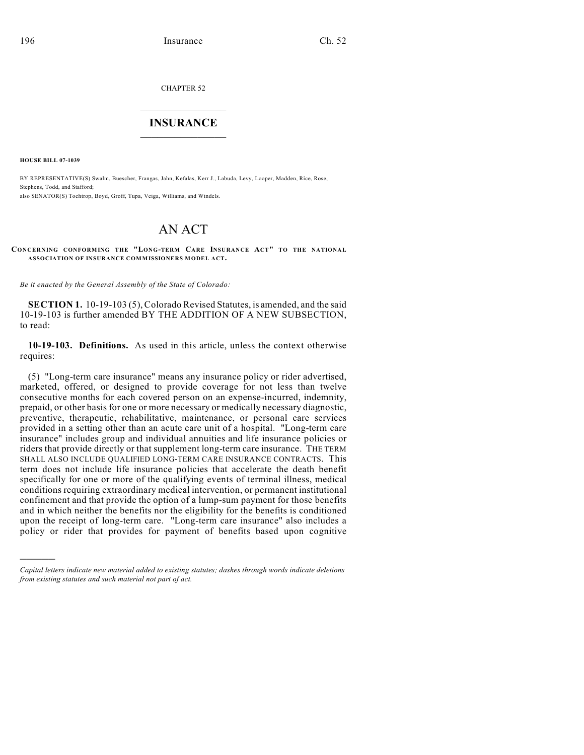CHAPTER 52

## $\mathcal{L}_\text{max}$  . The set of the set of the set of the set of the set of the set of the set of the set of the set of the set of the set of the set of the set of the set of the set of the set of the set of the set of the set **INSURANCE**  $\frac{1}{2}$  ,  $\frac{1}{2}$  ,  $\frac{1}{2}$  ,  $\frac{1}{2}$  ,  $\frac{1}{2}$  ,  $\frac{1}{2}$  ,  $\frac{1}{2}$

**HOUSE BILL 07-1039**

)))))

BY REPRESENTATIVE(S) Swalm, Buescher, Frangas, Jahn, Kefalas, Kerr J., Labuda, Levy, Looper, Madden, Rice, Rose, Stephens, Todd, and Stafford; also SENATOR(S) Tochtrop, Boyd, Groff, Tupa, Veiga, Williams, and Windels.

# AN ACT

#### **CONCERNING CONFORMING THE "LONG-TERM CARE INSURANCE ACT" TO THE NATIONAL ASSOCIATION OF INSURANCE COMMISSIONERS MODEL ACT.**

*Be it enacted by the General Assembly of the State of Colorado:*

**SECTION 1.** 10-19-103 (5), Colorado Revised Statutes, is amended, and the said 10-19-103 is further amended BY THE ADDITION OF A NEW SUBSECTION, to read:

**10-19-103. Definitions.** As used in this article, unless the context otherwise requires:

(5) "Long-term care insurance" means any insurance policy or rider advertised, marketed, offered, or designed to provide coverage for not less than twelve consecutive months for each covered person on an expense-incurred, indemnity, prepaid, or other basis for one or more necessary or medically necessary diagnostic, preventive, therapeutic, rehabilitative, maintenance, or personal care services provided in a setting other than an acute care unit of a hospital. "Long-term care insurance" includes group and individual annuities and life insurance policies or riders that provide directly or that supplement long-term care insurance. THE TERM SHALL ALSO INCLUDE QUALIFIED LONG-TERM CARE INSURANCE CONTRACTS. This term does not include life insurance policies that accelerate the death benefit specifically for one or more of the qualifying events of terminal illness, medical conditions requiring extraordinary medical intervention, or permanent institutional confinement and that provide the option of a lump-sum payment for those benefits and in which neither the benefits nor the eligibility for the benefits is conditioned upon the receipt of long-term care. "Long-term care insurance" also includes a policy or rider that provides for payment of benefits based upon cognitive

*Capital letters indicate new material added to existing statutes; dashes through words indicate deletions from existing statutes and such material not part of act.*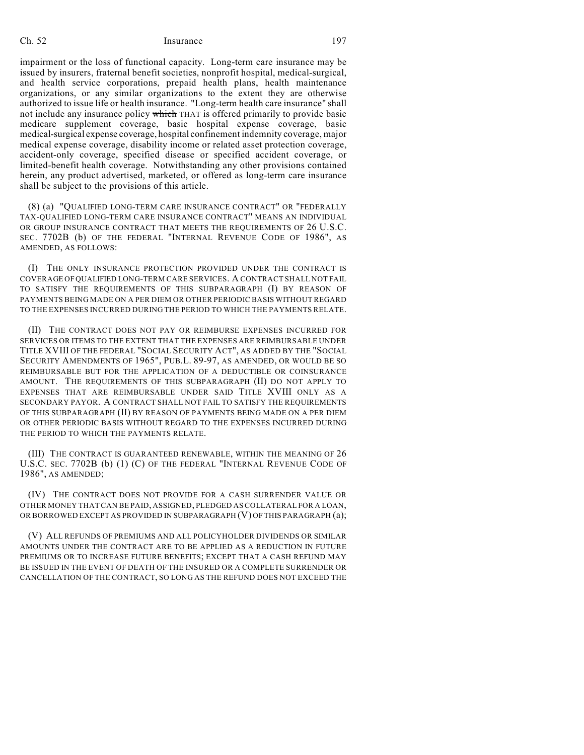impairment or the loss of functional capacity. Long-term care insurance may be issued by insurers, fraternal benefit societies, nonprofit hospital, medical-surgical, and health service corporations, prepaid health plans, health maintenance organizations, or any similar organizations to the extent they are otherwise authorized to issue life or health insurance. "Long-term health care insurance" shall not include any insurance policy which THAT is offered primarily to provide basic medicare supplement coverage, basic hospital expense coverage, basic medical-surgical expense coverage, hospital confinement indemnity coverage, major medical expense coverage, disability income or related asset protection coverage, accident-only coverage, specified disease or specified accident coverage, or limited-benefit health coverage. Notwithstanding any other provisions contained herein, any product advertised, marketed, or offered as long-term care insurance shall be subject to the provisions of this article.

(8) (a) "QUALIFIED LONG-TERM CARE INSURANCE CONTRACT" OR "FEDERALLY TAX-QUALIFIED LONG-TERM CARE INSURANCE CONTRACT" MEANS AN INDIVIDUAL OR GROUP INSURANCE CONTRACT THAT MEETS THE REQUIREMENTS OF 26 U.S.C. SEC. 7702B (b) OF THE FEDERAL "INTERNAL REVENUE CODE OF 1986", AS AMENDED, AS FOLLOWS:

(I) THE ONLY INSURANCE PROTECTION PROVIDED UNDER THE CONTRACT IS COVERAGE OF QUALIFIED LONG-TERM CARE SERVICES. A CONTRACT SHALL NOT FAIL TO SATISFY THE REQUIREMENTS OF THIS SUBPARAGRAPH (I) BY REASON OF PAYMENTS BEING MADE ON A PER DIEM OR OTHER PERIODIC BASIS WITHOUT REGARD TO THE EXPENSES INCURRED DURING THE PERIOD TO WHICH THE PAYMENTS RELATE.

(II) THE CONTRACT DOES NOT PAY OR REIMBURSE EXPENSES INCURRED FOR SERVICES OR ITEMS TO THE EXTENT THAT THE EXPENSES ARE REIMBURSABLE UNDER TITLE XVIII OF THE FEDERAL "SOCIAL SECURITY ACT", AS ADDED BY THE "SOCIAL SECURITY AMENDMENTS OF 1965", PUB.L. 89-97, AS AMENDED, OR WOULD BE SO REIMBURSABLE BUT FOR THE APPLICATION OF A DEDUCTIBLE OR COINSURANCE AMOUNT. THE REQUIREMENTS OF THIS SUBPARAGRAPH (II) DO NOT APPLY TO EXPENSES THAT ARE REIMBURSABLE UNDER SAID TITLE XVIII ONLY AS A SECONDARY PAYOR. A CONTRACT SHALL NOT FAIL TO SATISFY THE REQUIREMENTS OF THIS SUBPARAGRAPH (II) BY REASON OF PAYMENTS BEING MADE ON A PER DIEM OR OTHER PERIODIC BASIS WITHOUT REGARD TO THE EXPENSES INCURRED DURING THE PERIOD TO WHICH THE PAYMENTS RELATE.

(III) THE CONTRACT IS GUARANTEED RENEWABLE, WITHIN THE MEANING OF 26 U.S.C. SEC. 7702B (b) (1) (C) OF THE FEDERAL "INTERNAL REVENUE CODE OF 1986", AS AMENDED;

(IV) THE CONTRACT DOES NOT PROVIDE FOR A CASH SURRENDER VALUE OR OTHER MONEY THAT CAN BE PAID, ASSIGNED, PLEDGED AS COLLATERAL FOR A LOAN, OR BORROWED EXCEPT AS PROVIDED IN SUBPARAGRAPH (V) OF THIS PARAGRAPH (a);

(V) ALL REFUNDS OF PREMIUMS AND ALL POLICYHOLDER DIVIDENDS OR SIMILAR AMOUNTS UNDER THE CONTRACT ARE TO BE APPLIED AS A REDUCTION IN FUTURE PREMIUMS OR TO INCREASE FUTURE BENEFITS; EXCEPT THAT A CASH REFUND MAY BE ISSUED IN THE EVENT OF DEATH OF THE INSURED OR A COMPLETE SURRENDER OR CANCELLATION OF THE CONTRACT, SO LONG AS THE REFUND DOES NOT EXCEED THE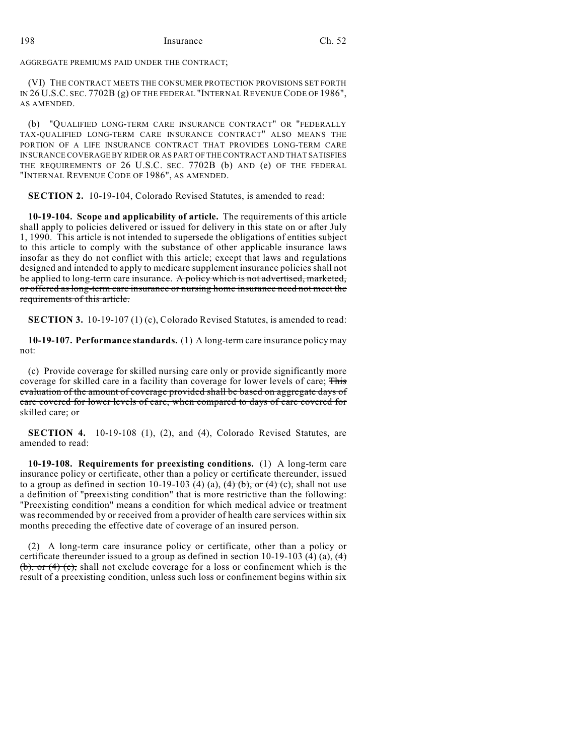### 198 Insurance Ch. 52

AGGREGATE PREMIUMS PAID UNDER THE CONTRACT;

(VI) THE CONTRACT MEETS THE CONSUMER PROTECTION PROVISIONS SET FORTH IN 26 U.S.C. SEC. 7702B (g) OF THE FEDERAL "INTERNAL REVENUE CODE OF 1986", AS AMENDED.

(b) "QUALIFIED LONG-TERM CARE INSURANCE CONTRACT" OR "FEDERALLY TAX-QUALIFIED LONG-TERM CARE INSURANCE CONTRACT" ALSO MEANS THE PORTION OF A LIFE INSURANCE CONTRACT THAT PROVIDES LONG-TERM CARE INSURANCE COVERAGE BY RIDER OR AS PART OF THE CONTRACT AND THAT SATISFIES THE REQUIREMENTS OF 26 U.S.C. SEC. 7702B (b) AND (e) OF THE FEDERAL "INTERNAL REVENUE CODE OF 1986", AS AMENDED.

**SECTION 2.** 10-19-104, Colorado Revised Statutes, is amended to read:

**10-19-104. Scope and applicability of article.** The requirements of this article shall apply to policies delivered or issued for delivery in this state on or after July 1, 1990. This article is not intended to supersede the obligations of entities subject to this article to comply with the substance of other applicable insurance laws insofar as they do not conflict with this article; except that laws and regulations designed and intended to apply to medicare supplement insurance policies shall not be applied to long-term care insurance. A policy which is not advertised, marketed, or offered as long-term care insurance or nursing home insurance need not meet the requirements of this article.

**SECTION 3.** 10-19-107 (1) (c), Colorado Revised Statutes, is amended to read:

**10-19-107. Performance standards.** (1) A long-term care insurance policy may not:

(c) Provide coverage for skilled nursing care only or provide significantly more coverage for skilled care in a facility than coverage for lower levels of care; This evaluation of the amount of coverage provided shall be based on aggregate days of care covered for lower levels of care, when compared to days of care covered for skilled care; or

**SECTION 4.** 10-19-108 (1), (2), and (4), Colorado Revised Statutes, are amended to read:

**10-19-108. Requirements for preexisting conditions.** (1) A long-term care insurance policy or certificate, other than a policy or certificate thereunder, issued to a group as defined in section 10-19-103 (4) (a),  $(4)$  (b), or (4) (c), shall not use a definition of "preexisting condition" that is more restrictive than the following: "Preexisting condition" means a condition for which medical advice or treatment was recommended by or received from a provider of health care services within six months preceding the effective date of coverage of an insured person.

(2) A long-term care insurance policy or certificate, other than a policy or certificate thereunder issued to a group as defined in section 10-19-103 (4) (a),  $\leftrightarrow$ (b), or  $(4)$  (c), shall not exclude coverage for a loss or confinement which is the result of a preexisting condition, unless such loss or confinement begins within six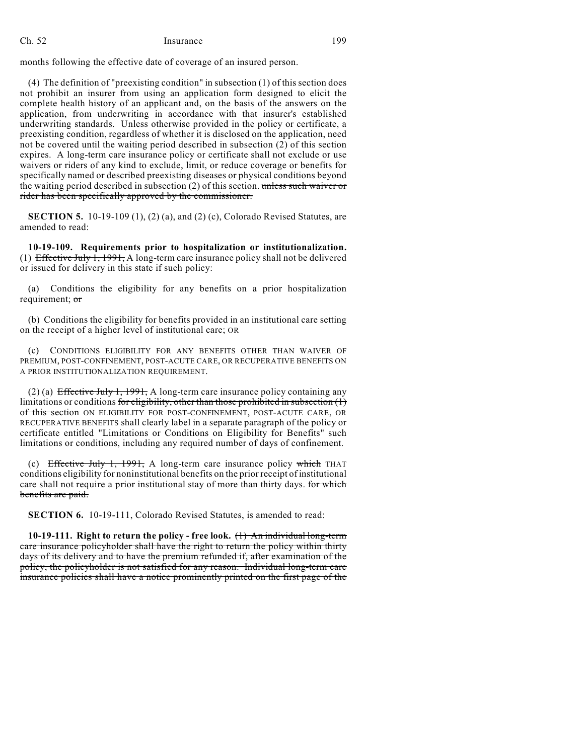months following the effective date of coverage of an insured person.

(4) The definition of "preexisting condition" in subsection (1) of this section does not prohibit an insurer from using an application form designed to elicit the complete health history of an applicant and, on the basis of the answers on the application, from underwriting in accordance with that insurer's established underwriting standards. Unless otherwise provided in the policy or certificate, a preexisting condition, regardless of whether it is disclosed on the application, need not be covered until the waiting period described in subsection (2) of this section expires. A long-term care insurance policy or certificate shall not exclude or use waivers or riders of any kind to exclude, limit, or reduce coverage or benefits for specifically named or described preexisting diseases or physical conditions beyond the waiting period described in subsection (2) of this section. unless such waiver or rider has been specifically approved by the commissioner.

**SECTION 5.** 10-19-109 (1), (2) (a), and (2) (c), Colorado Revised Statutes, are amended to read:

**10-19-109. Requirements prior to hospitalization or institutionalization.** (1) Effective July 1, 1991, A long-term care insurance policy shall not be delivered or issued for delivery in this state if such policy:

Conditions the eligibility for any benefits on a prior hospitalization requirement; or

(b) Conditions the eligibility for benefits provided in an institutional care setting on the receipt of a higher level of institutional care; OR

(c) CONDITIONS ELIGIBILITY FOR ANY BENEFITS OTHER THAN WAIVER OF PREMIUM, POST-CONFINEMENT, POST-ACUTE CARE, OR RECUPERATIVE BENEFITS ON A PRIOR INSTITUTIONALIZATION REQUIREMENT.

(2) (a) Effective July 1, 1991, A long-term care insurance policy containing any limitations or conditions for eligibility, other than those prohibited in subsection  $(1)$ of this section ON ELIGIBILITY FOR POST-CONFINEMENT, POST-ACUTE CARE, OR RECUPERATIVE BENEFITS shall clearly label in a separate paragraph of the policy or certificate entitled "Limitations or Conditions on Eligibility for Benefits" such limitations or conditions, including any required number of days of confinement.

(c) Effective July 1, 1991, A long-term care insurance policy which THAT conditions eligibility for noninstitutional benefits on the prior receipt of institutional care shall not require a prior institutional stay of more than thirty days. for which benefits are paid.

**SECTION 6.** 10-19-111, Colorado Revised Statutes, is amended to read:

**10-19-111. Right to return the policy - free look.** (1) An individual long-term care insurance policyholder shall have the right to return the policy within thirty days of its delivery and to have the premium refunded if, after examination of the policy, the policyholder is not satisfied for any reason. Individual long-term care insurance policies shall have a notice prominently printed on the first page of the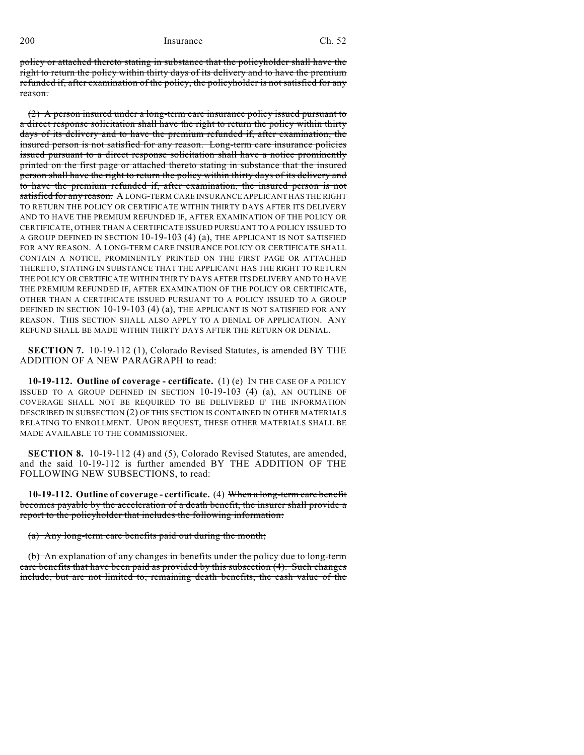200 Insurance Ch. 52

policy or attached thereto stating in substance that the policyholder shall have the right to return the policy within thirty days of its delivery and to have the premium refunded if, after examination of the policy, the policyholder is not satisfied for any reason.

(2) A person insured under a long-term care insurance policy issued pursuant to a direct response solicitation shall have the right to return the policy within thirty days of its delivery and to have the premium refunded if, after examination, the insured person is not satisfied for any reason. Long-term care insurance policies issued pursuant to a direct response solicitation shall have a notice prominently printed on the first page or attached thereto stating in substance that the insured person shall have the right to return the policy within thirty days of its delivery and to have the premium refunded if, after examination, the insured person is not satisfied for any reason. A LONG-TERM CARE INSURANCE APPLICANT HAS THE RIGHT TO RETURN THE POLICY OR CERTIFICATE WITHIN THIRTY DAYS AFTER ITS DELIVERY AND TO HAVE THE PREMIUM REFUNDED IF, AFTER EXAMINATION OF THE POLICY OR CERTIFICATE, OTHER THAN A CERTIFICATE ISSUED PURSUANT TO A POLICY ISSUED TO A GROUP DEFINED IN SECTION 10-19-103 (4) (a), THE APPLICANT IS NOT SATISFIED FOR ANY REASON. A LONG-TERM CARE INSURANCE POLICY OR CERTIFICATE SHALL CONTAIN A NOTICE, PROMINENTLY PRINTED ON THE FIRST PAGE OR ATTACHED THERETO, STATING IN SUBSTANCE THAT THE APPLICANT HAS THE RIGHT TO RETURN THE POLICY OR CERTIFICATE WITHIN THIRTY DAYS AFTER ITS DELIVERY AND TO HAVE THE PREMIUM REFUNDED IF, AFTER EXAMINATION OF THE POLICY OR CERTIFICATE, OTHER THAN A CERTIFICATE ISSUED PURSUANT TO A POLICY ISSUED TO A GROUP DEFINED IN SECTION 10-19-103 (4) (a), THE APPLICANT IS NOT SATISFIED FOR ANY REASON. THIS SECTION SHALL ALSO APPLY TO A DENIAL OF APPLICATION. ANY REFUND SHALL BE MADE WITHIN THIRTY DAYS AFTER THE RETURN OR DENIAL.

**SECTION 7.** 10-19-112 (1), Colorado Revised Statutes, is amended BY THE ADDITION OF A NEW PARAGRAPH to read:

**10-19-112. Outline of coverage - certificate.** (1) (e) IN THE CASE OF A POLICY ISSUED TO A GROUP DEFINED IN SECTION 10-19-103 (4) (a), AN OUTLINE OF COVERAGE SHALL NOT BE REQUIRED TO BE DELIVERED IF THE INFORMATION DESCRIBED IN SUBSECTION (2) OF THIS SECTION IS CONTAINED IN OTHER MATERIALS RELATING TO ENROLLMENT. UPON REQUEST, THESE OTHER MATERIALS SHALL BE MADE AVAILABLE TO THE COMMISSIONER.

**SECTION 8.** 10-19-112 (4) and (5), Colorado Revised Statutes, are amended, and the said 10-19-112 is further amended BY THE ADDITION OF THE FOLLOWING NEW SUBSECTIONS, to read:

**10-19-112. Outline of coverage - certificate.** (4) When a long-term care benefit becomes payable by the acceleration of a death benefit, the insurer shall provide a report to the policyholder that includes the following information:

(a) Any long-term care benefits paid out during the month;

(b) An explanation of any changes in benefits under the policy due to long-term care benefits that have been paid as provided by this subsection (4). Such changes include, but are not limited to, remaining death benefits, the cash value of the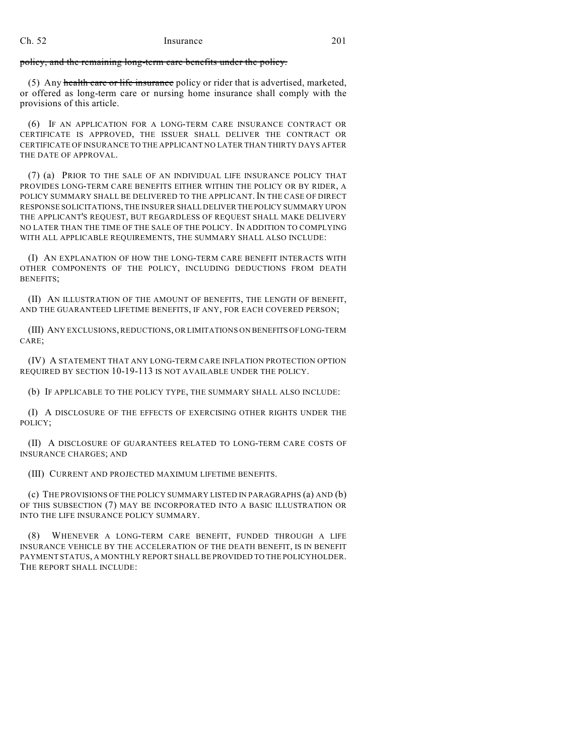policy, and the remaining long-term care benefits under the policy.

(5) Any health care or life insurance policy or rider that is advertised, marketed, or offered as long-term care or nursing home insurance shall comply with the provisions of this article.

(6) IF AN APPLICATION FOR A LONG-TERM CARE INSURANCE CONTRACT OR CERTIFICATE IS APPROVED, THE ISSUER SHALL DELIVER THE CONTRACT OR CERTIFICATE OF INSURANCE TO THE APPLICANT NO LATER THAN THIRTY DAYS AFTER THE DATE OF APPROVAL.

(7) (a) PRIOR TO THE SALE OF AN INDIVIDUAL LIFE INSURANCE POLICY THAT PROVIDES LONG-TERM CARE BENEFITS EITHER WITHIN THE POLICY OR BY RIDER, A POLICY SUMMARY SHALL BE DELIVERED TO THE APPLICANT. IN THE CASE OF DIRECT RESPONSE SOLICITATIONS, THE INSURER SHALL DELIVER THE POLICY SUMMARY UPON THE APPLICANT'S REQUEST, BUT REGARDLESS OF REQUEST SHALL MAKE DELIVERY NO LATER THAN THE TIME OF THE SALE OF THE POLICY. IN ADDITION TO COMPLYING WITH ALL APPLICABLE REQUIREMENTS, THE SUMMARY SHALL ALSO INCLUDE:

(I) AN EXPLANATION OF HOW THE LONG-TERM CARE BENEFIT INTERACTS WITH OTHER COMPONENTS OF THE POLICY, INCLUDING DEDUCTIONS FROM DEATH BENEFITS;

(II) AN ILLUSTRATION OF THE AMOUNT OF BENEFITS, THE LENGTH OF BENEFIT, AND THE GUARANTEED LIFETIME BENEFITS, IF ANY, FOR EACH COVERED PERSON;

(III) ANY EXCLUSIONS, REDUCTIONS, OR LIMITATIONS ON BENEFITS OF LONG-TERM CARE;

(IV) A STATEMENT THAT ANY LONG-TERM CARE INFLATION PROTECTION OPTION REQUIRED BY SECTION 10-19-113 IS NOT AVAILABLE UNDER THE POLICY.

(b) IF APPLICABLE TO THE POLICY TYPE, THE SUMMARY SHALL ALSO INCLUDE:

(I) A DISCLOSURE OF THE EFFECTS OF EXERCISING OTHER RIGHTS UNDER THE POLICY;

(II) A DISCLOSURE OF GUARANTEES RELATED TO LONG-TERM CARE COSTS OF INSURANCE CHARGES; AND

(III) CURRENT AND PROJECTED MAXIMUM LIFETIME BENEFITS.

(c) THE PROVISIONS OF THE POLICY SUMMARY LISTED IN PARAGRAPHS (a) AND (b) OF THIS SUBSECTION (7) MAY BE INCORPORATED INTO A BASIC ILLUSTRATION OR INTO THE LIFE INSURANCE POLICY SUMMARY.

(8) WHENEVER A LONG-TERM CARE BENEFIT, FUNDED THROUGH A LIFE INSURANCE VEHICLE BY THE ACCELERATION OF THE DEATH BENEFIT, IS IN BENEFIT PAYMENT STATUS, A MONTHLY REPORT SHALL BE PROVIDED TO THE POLICYHOLDER. THE REPORT SHALL INCLUDE: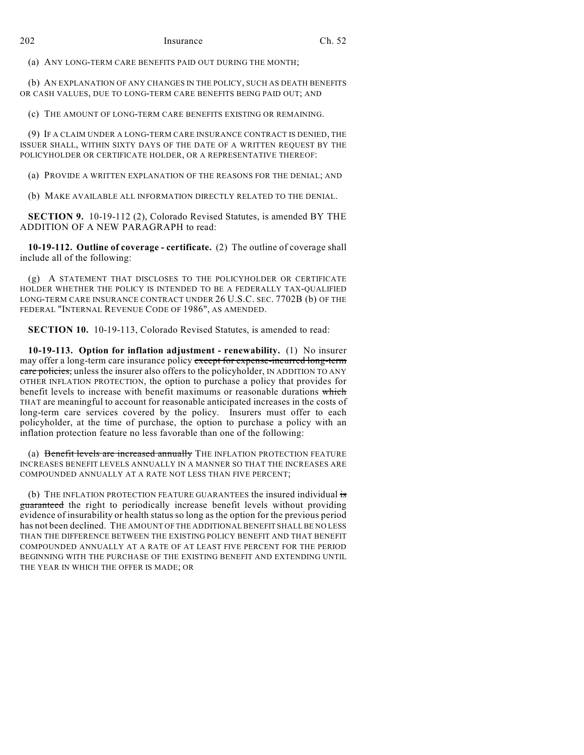(a) ANY LONG-TERM CARE BENEFITS PAID OUT DURING THE MONTH;

(b) AN EXPLANATION OF ANY CHANGES IN THE POLICY, SUCH AS DEATH BENEFITS OR CASH VALUES, DUE TO LONG-TERM CARE BENEFITS BEING PAID OUT; AND

(c) THE AMOUNT OF LONG-TERM CARE BENEFITS EXISTING OR REMAINING.

(9) IF A CLAIM UNDER A LONG-TERM CARE INSURANCE CONTRACT IS DENIED, THE ISSUER SHALL, WITHIN SIXTY DAYS OF THE DATE OF A WRITTEN REQUEST BY THE POLICYHOLDER OR CERTIFICATE HOLDER, OR A REPRESENTATIVE THEREOF:

(a) PROVIDE A WRITTEN EXPLANATION OF THE REASONS FOR THE DENIAL; AND

(b) MAKE AVAILABLE ALL INFORMATION DIRECTLY RELATED TO THE DENIAL.

**SECTION 9.** 10-19-112 (2), Colorado Revised Statutes, is amended BY THE ADDITION OF A NEW PARAGRAPH to read:

**10-19-112. Outline of coverage - certificate.** (2) The outline of coverage shall include all of the following:

(g) A STATEMENT THAT DISCLOSES TO THE POLICYHOLDER OR CERTIFICATE HOLDER WHETHER THE POLICY IS INTENDED TO BE A FEDERALLY TAX-QUALIFIED LONG-TERM CARE INSURANCE CONTRACT UNDER 26 U.S.C. SEC. 7702B (b) OF THE FEDERAL "INTERNAL REVENUE CODE OF 1986", AS AMENDED.

**SECTION 10.** 10-19-113, Colorado Revised Statutes, is amended to read:

**10-19-113. Option for inflation adjustment - renewability.** (1) No insurer may offer a long-term care insurance policy except for expense-incurred long-term care policies, unless the insurer also offers to the policyholder, IN ADDITION TO ANY OTHER INFLATION PROTECTION, the option to purchase a policy that provides for benefit levels to increase with benefit maximums or reasonable durations which THAT are meaningful to account for reasonable anticipated increases in the costs of long-term care services covered by the policy. Insurers must offer to each policyholder, at the time of purchase, the option to purchase a policy with an inflation protection feature no less favorable than one of the following:

(a) Benefit levels are increased annually THE INFLATION PROTECTION FEATURE INCREASES BENEFIT LEVELS ANNUALLY IN A MANNER SO THAT THE INCREASES ARE COMPOUNDED ANNUALLY AT A RATE NOT LESS THAN FIVE PERCENT;

(b) THE INFLATION PROTECTION FEATURE GUARANTEES the insured individual  $\frac{1}{15}$ guaranteed the right to periodically increase benefit levels without providing evidence of insurability or health status so long as the option for the previous period has not been declined. THE AMOUNT OF THE ADDITIONAL BENEFIT SHALL BE NO LESS THAN THE DIFFERENCE BETWEEN THE EXISTING POLICY BENEFIT AND THAT BENEFIT COMPOUNDED ANNUALLY AT A RATE OF AT LEAST FIVE PERCENT FOR THE PERIOD BEGINNING WITH THE PURCHASE OF THE EXISTING BENEFIT AND EXTENDING UNTIL THE YEAR IN WHICH THE OFFER IS MADE; OR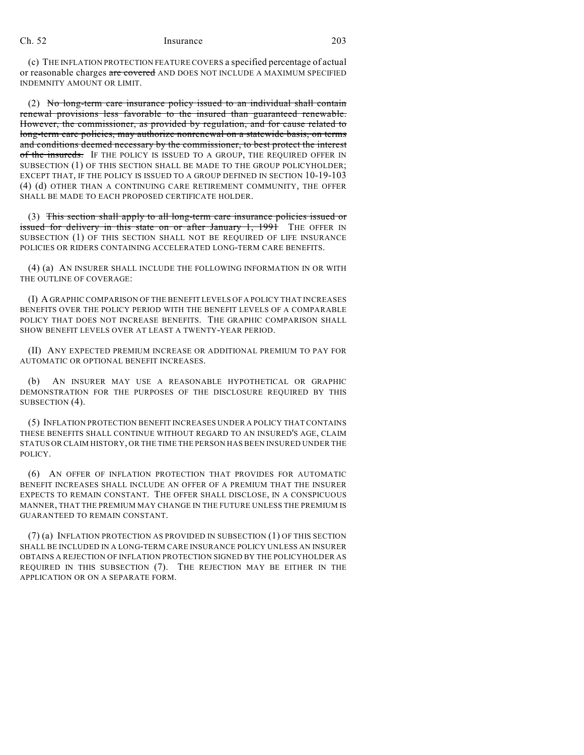(c) THE INFLATION PROTECTION FEATURE COVERS a specified percentage of actual or reasonable charges are covered AND DOES NOT INCLUDE A MAXIMUM SPECIFIED INDEMNITY AMOUNT OR LIMIT.

(2) No long-term care insurance policy issued to an individual shall contain renewal provisions less favorable to the insured than guaranteed renewable. However, the commissioner, as provided by regulation, and for cause related to long-term care policies, may authorize nonrenewal on a statewide basis, on terms and conditions deemed necessary by the commissioner, to best protect the interest of the insureds. IF THE POLICY IS ISSUED TO A GROUP, THE REQUIRED OFFER IN SUBSECTION (1) OF THIS SECTION SHALL BE MADE TO THE GROUP POLICYHOLDER; EXCEPT THAT, IF THE POLICY IS ISSUED TO A GROUP DEFINED IN SECTION 10-19-103 (4) (d) OTHER THAN A CONTINUING CARE RETIREMENT COMMUNITY, THE OFFER SHALL BE MADE TO EACH PROPOSED CERTIFICATE HOLDER.

(3) This section shall apply to all long-term care insurance policies issued or issued for delivery in this state on or after January 1, 1991 THE OFFER IN SUBSECTION (1) OF THIS SECTION SHALL NOT BE REQUIRED OF LIFE INSURANCE POLICIES OR RIDERS CONTAINING ACCELERATED LONG-TERM CARE BENEFITS.

(4) (a) AN INSURER SHALL INCLUDE THE FOLLOWING INFORMATION IN OR WITH THE OUTLINE OF COVERAGE:

(I) A GRAPHIC COMPARISON OF THE BENEFIT LEVELS OF A POLICY THAT INCREASES BENEFITS OVER THE POLICY PERIOD WITH THE BENEFIT LEVELS OF A COMPARABLE POLICY THAT DOES NOT INCREASE BENEFITS. THE GRAPHIC COMPARISON SHALL SHOW BENEFIT LEVELS OVER AT LEAST A TWENTY-YEAR PERIOD.

(II) ANY EXPECTED PREMIUM INCREASE OR ADDITIONAL PREMIUM TO PAY FOR AUTOMATIC OR OPTIONAL BENEFIT INCREASES.

(b) AN INSURER MAY USE A REASONABLE HYPOTHETICAL OR GRAPHIC DEMONSTRATION FOR THE PURPOSES OF THE DISCLOSURE REQUIRED BY THIS SUBSECTION (4).

(5) INFLATION PROTECTION BENEFIT INCREASES UNDER A POLICY THAT CONTAINS THESE BENEFITS SHALL CONTINUE WITHOUT REGARD TO AN INSURED'S AGE, CLAIM STATUS OR CLAIM HISTORY, OR THE TIME THE PERSON HAS BEEN INSURED UNDER THE POLICY.

(6) AN OFFER OF INFLATION PROTECTION THAT PROVIDES FOR AUTOMATIC BENEFIT INCREASES SHALL INCLUDE AN OFFER OF A PREMIUM THAT THE INSURER EXPECTS TO REMAIN CONSTANT. THE OFFER SHALL DISCLOSE, IN A CONSPICUOUS MANNER, THAT THE PREMIUM MAY CHANGE IN THE FUTURE UNLESS THE PREMIUM IS GUARANTEED TO REMAIN CONSTANT.

(7) (a) INFLATION PROTECTION AS PROVIDED IN SUBSECTION (1) OF THIS SECTION SHALL BE INCLUDED IN A LONG-TERM CARE INSURANCE POLICY UNLESS AN INSURER OBTAINS A REJECTION OF INFLATION PROTECTION SIGNED BY THE POLICYHOLDER AS REQUIRED IN THIS SUBSECTION (7). THE REJECTION MAY BE EITHER IN THE APPLICATION OR ON A SEPARATE FORM.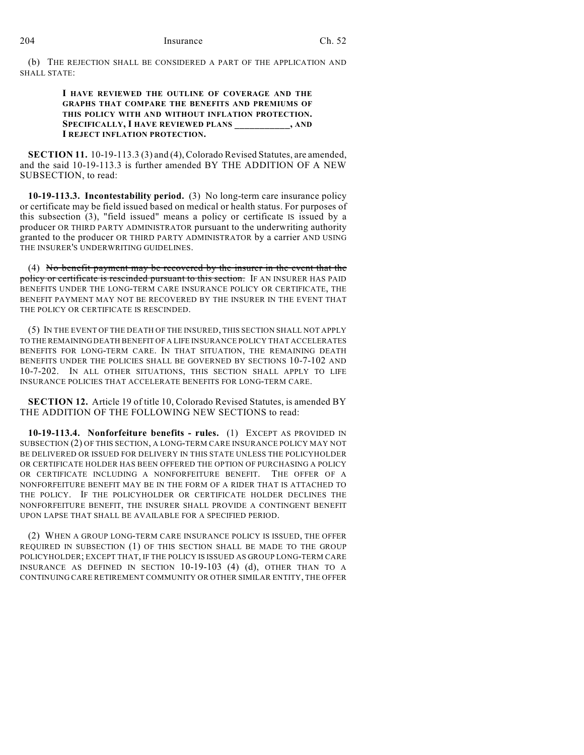(b) THE REJECTION SHALL BE CONSIDERED A PART OF THE APPLICATION AND SHALL STATE:

## **I HAVE REVIEWED THE OUTLINE OF COVERAGE AND THE GRAPHS THAT COMPARE THE BENEFITS AND PREMIUMS OF THIS POLICY WITH AND WITHOUT INFLATION PROTECTION. SPECIFICALLY, I HAVE REVIEWED PLANS \_\_\_\_\_\_\_\_\_\_\_, AND I REJECT INFLATION PROTECTION.**

**SECTION 11.** 10-19-113.3 (3) and (4), Colorado Revised Statutes, are amended, and the said 10-19-113.3 is further amended BY THE ADDITION OF A NEW SUBSECTION, to read:

**10-19-113.3. Incontestability period.** (3) No long-term care insurance policy or certificate may be field issued based on medical or health status. For purposes of this subsection (3), "field issued" means a policy or certificate IS issued by a producer OR THIRD PARTY ADMINISTRATOR pursuant to the underwriting authority granted to the producer OR THIRD PARTY ADMINISTRATOR by a carrier AND USING THE INSURER'S UNDERWRITING GUIDELINES.

(4) No benefit payment may be recovered by the insurer in the event that the policy or certificate is rescinded pursuant to this section. IF AN INSURER HAS PAID BENEFITS UNDER THE LONG-TERM CARE INSURANCE POLICY OR CERTIFICATE, THE BENEFIT PAYMENT MAY NOT BE RECOVERED BY THE INSURER IN THE EVENT THAT THE POLICY OR CERTIFICATE IS RESCINDED.

(5) IN THE EVENT OF THE DEATH OF THE INSURED, THIS SECTION SHALL NOT APPLY TO THE REMAINING DEATH BENEFIT OF A LIFE INSURANCE POLICY THAT ACCELERATES BENEFITS FOR LONG-TERM CARE. IN THAT SITUATION, THE REMAINING DEATH BENEFITS UNDER THE POLICIES SHALL BE GOVERNED BY SECTIONS 10-7-102 AND 10-7-202. IN ALL OTHER SITUATIONS, THIS SECTION SHALL APPLY TO LIFE INSURANCE POLICIES THAT ACCELERATE BENEFITS FOR LONG-TERM CARE.

**SECTION 12.** Article 19 of title 10, Colorado Revised Statutes, is amended BY THE ADDITION OF THE FOLLOWING NEW SECTIONS to read:

**10-19-113.4. Nonforfeiture benefits - rules.** (1) EXCEPT AS PROVIDED IN SUBSECTION (2) OF THIS SECTION, A LONG-TERM CARE INSURANCE POLICY MAY NOT BE DELIVERED OR ISSUED FOR DELIVERY IN THIS STATE UNLESS THE POLICYHOLDER OR CERTIFICATE HOLDER HAS BEEN OFFERED THE OPTION OF PURCHASING A POLICY OR CERTIFICATE INCLUDING A NONFORFEITURE BENEFIT. THE OFFER OF A NONFORFEITURE BENEFIT MAY BE IN THE FORM OF A RIDER THAT IS ATTACHED TO THE POLICY. IF THE POLICYHOLDER OR CERTIFICATE HOLDER DECLINES THE NONFORFEITURE BENEFIT, THE INSURER SHALL PROVIDE A CONTINGENT BENEFIT UPON LAPSE THAT SHALL BE AVAILABLE FOR A SPECIFIED PERIOD.

(2) WHEN A GROUP LONG-TERM CARE INSURANCE POLICY IS ISSUED, THE OFFER REQUIRED IN SUBSECTION (1) OF THIS SECTION SHALL BE MADE TO THE GROUP POLICYHOLDER; EXCEPT THAT, IF THE POLICY IS ISSUED AS GROUP LONG-TERM CARE INSURANCE AS DEFINED IN SECTION 10-19-103 (4) (d), OTHER THAN TO A CONTINUING CARE RETIREMENT COMMUNITY OR OTHER SIMILAR ENTITY, THE OFFER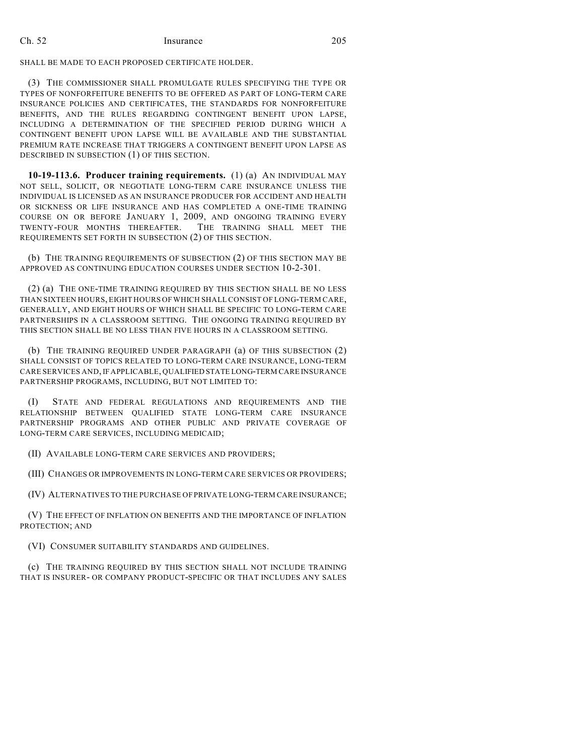SHALL BE MADE TO EACH PROPOSED CERTIFICATE HOLDER.

(3) THE COMMISSIONER SHALL PROMULGATE RULES SPECIFYING THE TYPE OR TYPES OF NONFORFEITURE BENEFITS TO BE OFFERED AS PART OF LONG-TERM CARE INSURANCE POLICIES AND CERTIFICATES, THE STANDARDS FOR NONFORFEITURE BENEFITS, AND THE RULES REGARDING CONTINGENT BENEFIT UPON LAPSE, INCLUDING A DETERMINATION OF THE SPECIFIED PERIOD DURING WHICH A CONTINGENT BENEFIT UPON LAPSE WILL BE AVAILABLE AND THE SUBSTANTIAL PREMIUM RATE INCREASE THAT TRIGGERS A CONTINGENT BENEFIT UPON LAPSE AS DESCRIBED IN SUBSECTION (1) OF THIS SECTION.

**10-19-113.6. Producer training requirements.** (1) (a) AN INDIVIDUAL MAY NOT SELL, SOLICIT, OR NEGOTIATE LONG-TERM CARE INSURANCE UNLESS THE INDIVIDUAL IS LICENSED AS AN INSURANCE PRODUCER FOR ACCIDENT AND HEALTH OR SICKNESS OR LIFE INSURANCE AND HAS COMPLETED A ONE-TIME TRAINING COURSE ON OR BEFORE JANUARY 1, 2009, AND ONGOING TRAINING EVERY TWENTY-FOUR MONTHS THEREAFTER. THE TRAINING SHALL MEET THE REQUIREMENTS SET FORTH IN SUBSECTION (2) OF THIS SECTION.

(b) THE TRAINING REQUIREMENTS OF SUBSECTION (2) OF THIS SECTION MAY BE APPROVED AS CONTINUING EDUCATION COURSES UNDER SECTION 10-2-301.

(2) (a) THE ONE-TIME TRAINING REQUIRED BY THIS SECTION SHALL BE NO LESS THAN SIXTEEN HOURS, EIGHT HOURS OFWHICH SHALL CONSIST OF LONG-TERM CARE, GENERALLY, AND EIGHT HOURS OF WHICH SHALL BE SPECIFIC TO LONG-TERM CARE PARTNERSHIPS IN A CLASSROOM SETTING. THE ONGOING TRAINING REQUIRED BY THIS SECTION SHALL BE NO LESS THAN FIVE HOURS IN A CLASSROOM SETTING.

(b) THE TRAINING REQUIRED UNDER PARAGRAPH (a) OF THIS SUBSECTION (2) SHALL CONSIST OF TOPICS RELATED TO LONG-TERM CARE INSURANCE, LONG-TERM CARE SERVICES AND, IF APPLICABLE, QUALIFIED STATE LONG-TERM CARE INSURANCE PARTNERSHIP PROGRAMS, INCLUDING, BUT NOT LIMITED TO:

(I) STATE AND FEDERAL REGULATIONS AND REQUIREMENTS AND THE RELATIONSHIP BETWEEN QUALIFIED STATE LONG-TERM CARE INSURANCE PARTNERSHIP PROGRAMS AND OTHER PUBLIC AND PRIVATE COVERAGE OF LONG-TERM CARE SERVICES, INCLUDING MEDICAID;

(II) AVAILABLE LONG-TERM CARE SERVICES AND PROVIDERS;

(III) CHANGES OR IMPROVEMENTS IN LONG-TERM CARE SERVICES OR PROVIDERS;

(IV) ALTERNATIVES TO THE PURCHASE OF PRIVATE LONG-TERM CARE INSURANCE;

(V) THE EFFECT OF INFLATION ON BENEFITS AND THE IMPORTANCE OF INFLATION PROTECTION; AND

(VI) CONSUMER SUITABILITY STANDARDS AND GUIDELINES.

(c) THE TRAINING REQUIRED BY THIS SECTION SHALL NOT INCLUDE TRAINING THAT IS INSURER- OR COMPANY PRODUCT-SPECIFIC OR THAT INCLUDES ANY SALES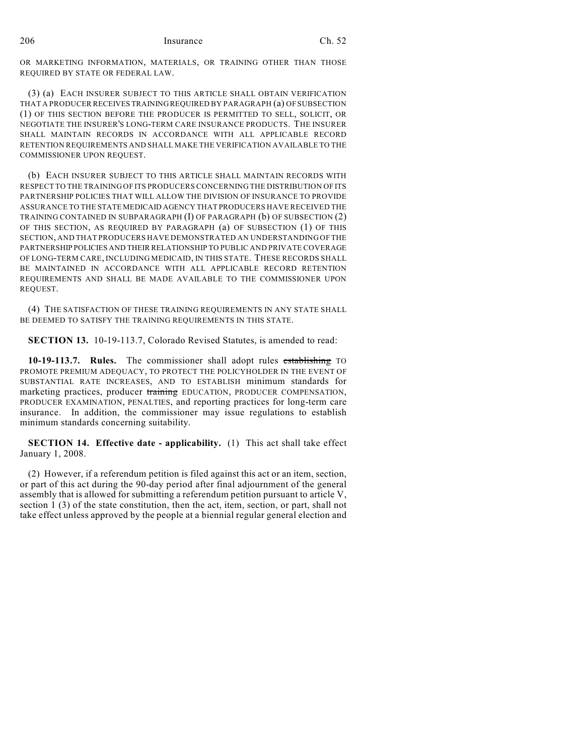OR MARKETING INFORMATION, MATERIALS, OR TRAINING OTHER THAN THOSE REQUIRED BY STATE OR FEDERAL LAW.

(3) (a) EACH INSURER SUBJECT TO THIS ARTICLE SHALL OBTAIN VERIFICATION THAT A PRODUCER RECEIVES TRAINING REQUIRED BY PARAGRAPH (a) OF SUBSECTION (1) OF THIS SECTION BEFORE THE PRODUCER IS PERMITTED TO SELL, SOLICIT, OR NEGOTIATE THE INSURER'S LONG-TERM CARE INSURANCE PRODUCTS. THE INSURER SHALL MAINTAIN RECORDS IN ACCORDANCE WITH ALL APPLICABLE RECORD RETENTION REQUIREMENTS AND SHALL MAKE THE VERIFICATION AVAILABLE TO THE COMMISSIONER UPON REQUEST.

(b) EACH INSURER SUBJECT TO THIS ARTICLE SHALL MAINTAIN RECORDS WITH RESPECT TO THE TRAINING OF ITS PRODUCERS CONCERNING THE DISTRIBUTION OF ITS PARTNERSHIP POLICIES THAT WILL ALLOW THE DIVISION OF INSURANCE TO PROVIDE ASSURANCE TO THE STATE MEDICAID AGENCY THAT PRODUCERS HAVE RECEIVED THE TRAINING CONTAINED IN SUBPARAGRAPH (I) OF PARAGRAPH (b) OF SUBSECTION (2) OF THIS SECTION, AS REQUIRED BY PARAGRAPH (a) OF SUBSECTION (1) OF THIS SECTION, AND THAT PRODUCERS HAVE DEMONSTRATED AN UNDERSTANDING OF THE PARTNERSHIP POLICIES AND THEIR RELATIONSHIP TO PUBLIC AND PRIVATE COVERAGE OF LONG-TERM CARE, INCLUDING MEDICAID, IN THIS STATE. THESE RECORDS SHALL BE MAINTAINED IN ACCORDANCE WITH ALL APPLICABLE RECORD RETENTION REQUIREMENTS AND SHALL BE MADE AVAILABLE TO THE COMMISSIONER UPON REQUEST.

(4) THE SATISFACTION OF THESE TRAINING REQUIREMENTS IN ANY STATE SHALL BE DEEMED TO SATISFY THE TRAINING REQUIREMENTS IN THIS STATE.

**SECTION 13.** 10-19-113.7, Colorado Revised Statutes, is amended to read:

**10-19-113.7. Rules.** The commissioner shall adopt rules establishing TO PROMOTE PREMIUM ADEQUACY, TO PROTECT THE POLICYHOLDER IN THE EVENT OF SUBSTANTIAL RATE INCREASES, AND TO ESTABLISH minimum standards for marketing practices, producer training EDUCATION, PRODUCER COMPENSATION, PRODUCER EXAMINATION, PENALTIES, and reporting practices for long-term care insurance. In addition, the commissioner may issue regulations to establish minimum standards concerning suitability.

**SECTION 14. Effective date - applicability.** (1) This act shall take effect January 1, 2008.

(2) However, if a referendum petition is filed against this act or an item, section, or part of this act during the 90-day period after final adjournment of the general assembly that is allowed for submitting a referendum petition pursuant to article V, section 1 (3) of the state constitution, then the act, item, section, or part, shall not take effect unless approved by the people at a biennial regular general election and